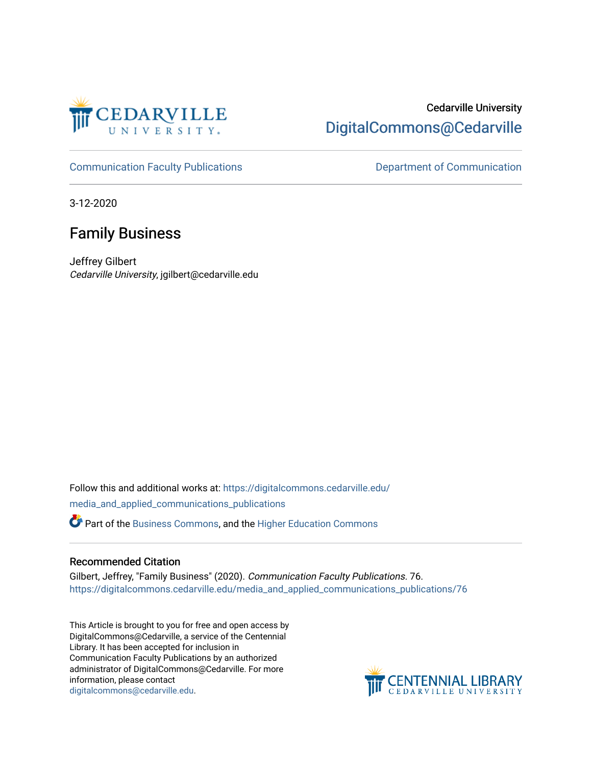

### Cedarville University [DigitalCommons@Cedarville](https://digitalcommons.cedarville.edu/)

[Communication Faculty Publications](https://digitalcommons.cedarville.edu/media_and_applied_communications_publications) **Department of Communication** 

3-12-2020

## Family Business

Jeffrey Gilbert Cedarville University, jgilbert@cedarville.edu

Follow this and additional works at: [https://digitalcommons.cedarville.edu/](https://digitalcommons.cedarville.edu/media_and_applied_communications_publications?utm_source=digitalcommons.cedarville.edu%2Fmedia_and_applied_communications_publications%2F76&utm_medium=PDF&utm_campaign=PDFCoverPages) [media\\_and\\_applied\\_communications\\_publications](https://digitalcommons.cedarville.edu/media_and_applied_communications_publications?utm_source=digitalcommons.cedarville.edu%2Fmedia_and_applied_communications_publications%2F76&utm_medium=PDF&utm_campaign=PDFCoverPages) 

Part of the [Business Commons](http://network.bepress.com/hgg/discipline/622?utm_source=digitalcommons.cedarville.edu%2Fmedia_and_applied_communications_publications%2F76&utm_medium=PDF&utm_campaign=PDFCoverPages), and the [Higher Education Commons](http://network.bepress.com/hgg/discipline/1245?utm_source=digitalcommons.cedarville.edu%2Fmedia_and_applied_communications_publications%2F76&utm_medium=PDF&utm_campaign=PDFCoverPages)

#### Recommended Citation

Gilbert, Jeffrey, "Family Business" (2020). Communication Faculty Publications. 76. [https://digitalcommons.cedarville.edu/media\\_and\\_applied\\_communications\\_publications/76](https://digitalcommons.cedarville.edu/media_and_applied_communications_publications/76?utm_source=digitalcommons.cedarville.edu%2Fmedia_and_applied_communications_publications%2F76&utm_medium=PDF&utm_campaign=PDFCoverPages) 

This Article is brought to you for free and open access by DigitalCommons@Cedarville, a service of the Centennial Library. It has been accepted for inclusion in Communication Faculty Publications by an authorized administrator of DigitalCommons@Cedarville. For more information, please contact [digitalcommons@cedarville.edu](mailto:digitalcommons@cedarville.edu).

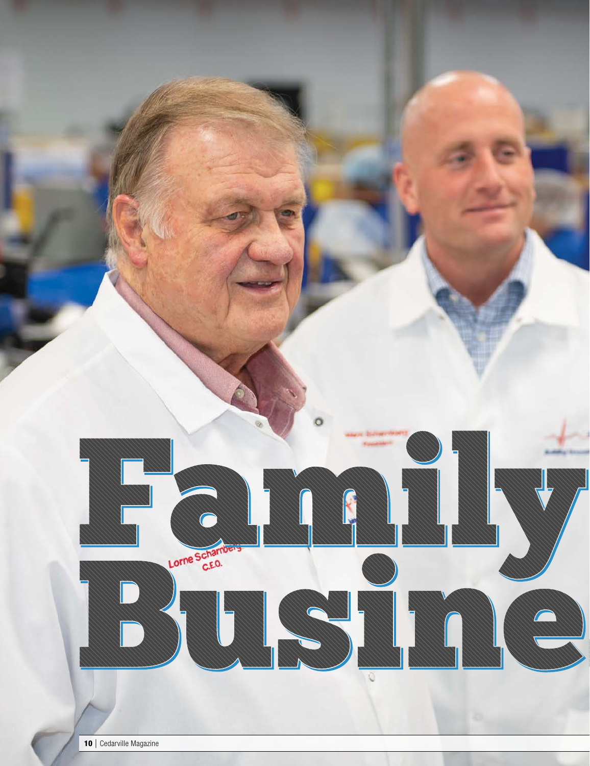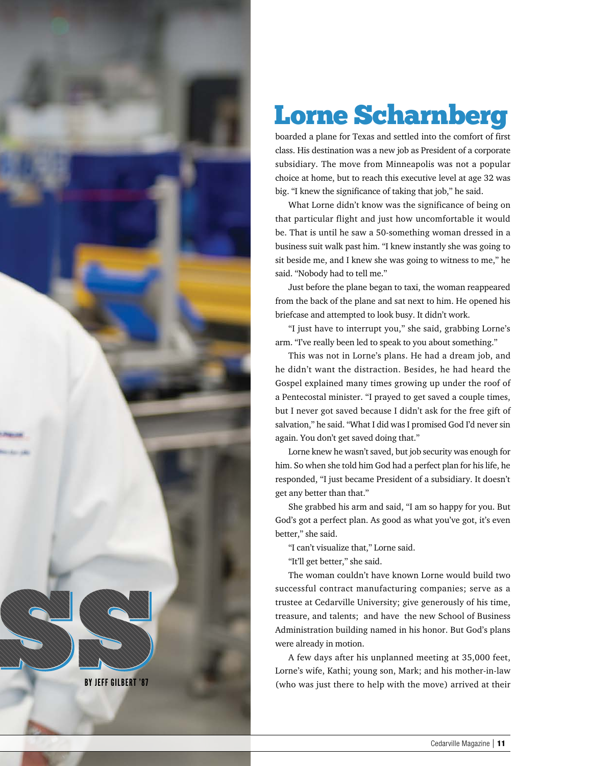

# Lorne Scharnberg

boarded a plane for Texas and settled into the comfort of first class. His destination was a new job as President of a corporate subsidiary. The move from Minneapolis was not a popular choice at home, but to reach this executive level at age 32 was big. "I knew the significance of taking that job," he said.

What Lorne didn't know was the significance of being on that particular flight and just how uncomfortable it would be. That is until he saw a 50-something woman dressed in a business suit walk past him. "I knew instantly she was going to sit beside me, and I knew she was going to witness to me," he said. "Nobody had to tell me."

Just before the plane began to taxi, the woman reappeared from the back of the plane and sat next to him. He opened his briefcase and attempted to look busy. It didn't work.

"I just have to interrupt you," she said, grabbing Lorne's arm. "I've really been led to speak to you about something."

This was not in Lorne's plans. He had a dream job, and he didn't want the distraction. Besides, he had heard the Gospel explained many times growing up under the roof of a Pentecostal minister. "I prayed to get saved a couple times, but I never got saved because I didn't ask for the free gift of salvation," he said. "What I did was I promised God I'd never sin again. You don't get saved doing that."

Lorne knew he wasn't saved, but job security was enough for him. So when she told him God had a perfect plan for his life, he responded, "I just became President of a subsidiary. It doesn't get any better than that."

She grabbed his arm and said, "I am so happy for you. But God's got a perfect plan. As good as what you've got, it's even better," she said.

"I can't visualize that," Lorne said.

"It'll get better," she said.

The woman couldn't have known Lorne would build two successful contract manufacturing companies; serve as a trustee at Cedarville University; give generously of his time, treasure, and talents; and have the new School of Business Administration building named in his honor. But God's plans were already in motion.

A few days after his unplanned meeting at 35,000 feet, Lorne's wife, Kathi; young son, Mark; and his mother-in-law BY JEFF GILBERT '87 (who was just there to help with the move) arrived at their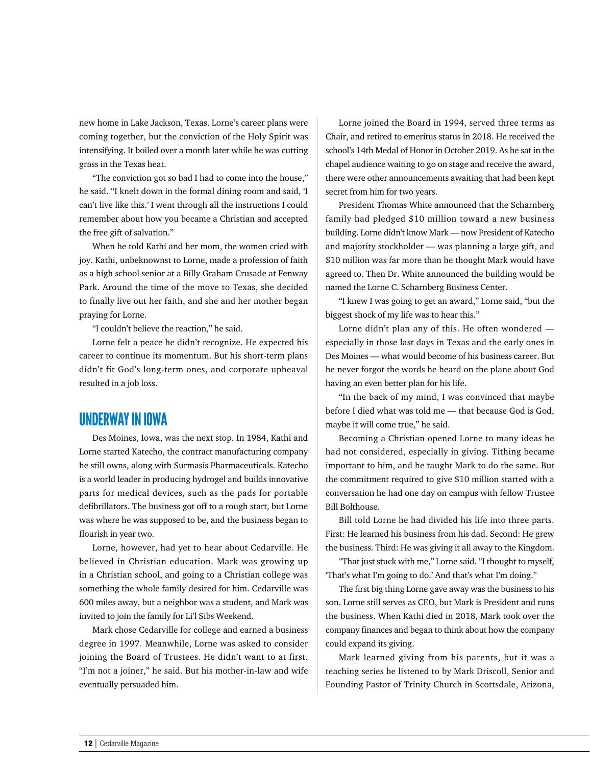new home in Lake Jackson, Texas. Lorne's career plans were coming together, but the conviction of the Holy Spirit was intensifying. It boiled over a month later while he was cutting grass in the Texas heat.

"The conviction got so bad I had to come into the house," he said. "I knelt down in the formal dining room and said, 'I can't live like this.' I went through all the instructions I could remember about how you became a Christian and accepted the free gift of salvation."

When he told Kathi and her mom, the women cried with joy. Kathi, unbeknownst to Lorne, made a profession of faith as a high school senior at a Billy Graham Crusade at Fenway Park. Around the time of the move to Texas, she decided to finally live out her faith, and she and her mother began praying for Lorne.

"I couldn't believe the reaction," he said.

Lorne felt a peace he didn't recognize. He expected his career to continue its momentum. But his short-term plans didn't fit God's long-term ones, and corporate upheaval resulted in a job loss.

#### UNDERWAY IN IOWA

Des Moines, Iowa, was the next stop. In 1984, Kathi and Lorne started Katecho, the contract manufacturing company he still owns, along with Surmasis Pharmaceuticals. Katecho is a world leader in producing hydrogel and builds innovative parts for medical devices, such as the pads for portable defibrillators. The business got off to a rough start, but Lorne was where he was supposed to be, and the business began to flourish in year two.

Lorne, however, had yet to hear about Cedarville. He believed in Christian education. Mark was growing up in a Christian school, and going to a Christian college was something the whole family desired for him. Cedarville was 600 miles away, but a neighbor was a student, and Mark was invited to join the family for Li'l Sibs Weekend.

Mark chose Cedarville for college and earned a business degree in 1997. Meanwhile, Lorne was asked to consider joining the Board of Trustees. He didn't want to at first. "I'm not a joiner," he said. But his mother-in-law and wife eventually persuaded him.

Lorne joined the Board in 1994, served three terms as Chair, and retired to emeritus status in 2018. He received the school's 14th Medal of Honor in October 2019. As he sat in the chapel audience waiting to go on stage and receive the award, there were other announcements awaiting that had been kept secret from him for two years.

President Thomas White announced that the Scharnberg family had pledged \$10 million toward a new business building. Lorne didn't know Mark — now President of Katecho and majority stockholder — was planning a large gift, and \$10 million was far more than he thought Mark would have agreed to. Then Dr. White announced the building would be named the Lorne C. Scharnberg Business Center.

"I knew I was going to get an award," Lorne said, "but the biggest shock of my life was to hear this."

Lorne didn't plan any of this. He often wondered especially in those last days in Texas and the early ones in Des Moines — what would become of his business career. But he never forgot the words he heard on the plane about God having an even better plan for his life.

"In the back of my mind, I was convinced that maybe before I died what was told me — that because God is God, maybe it will come true," he said.

Becoming a Christian opened Lorne to many ideas he had not considered, especially in giving. Tithing became important to him, and he taught Mark to do the same. But the commitment required to give \$10 million started with a conversation he had one day on campus with fellow Trustee Bill Bolthouse.

Bill told Lorne he had divided his life into three parts. First: He learned his business from his dad. Second: He grew the business. Third: He was giving it all away to the Kingdom.

"That just stuck with me," Lorne said. "I thought to myself, 'That's what I'm going to do.' And that's what I'm doing."

The first big thing Lorne gave away was the business to his son. Lorne still serves as CEO, but Mark is President and runs the business. When Kathi died in 2018, Mark took over the company finances and began to think about how the company could expand its giving.

Mark learned giving from his parents, but it was a teaching series he listened to by Mark Driscoll, Senior and Founding Pastor of Trinity Church in Scottsdale, Arizona,